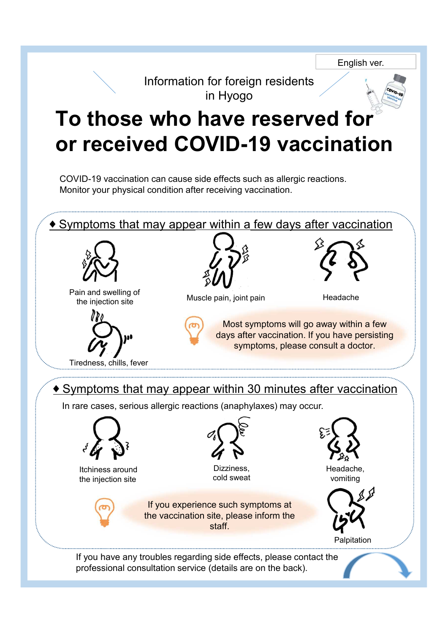